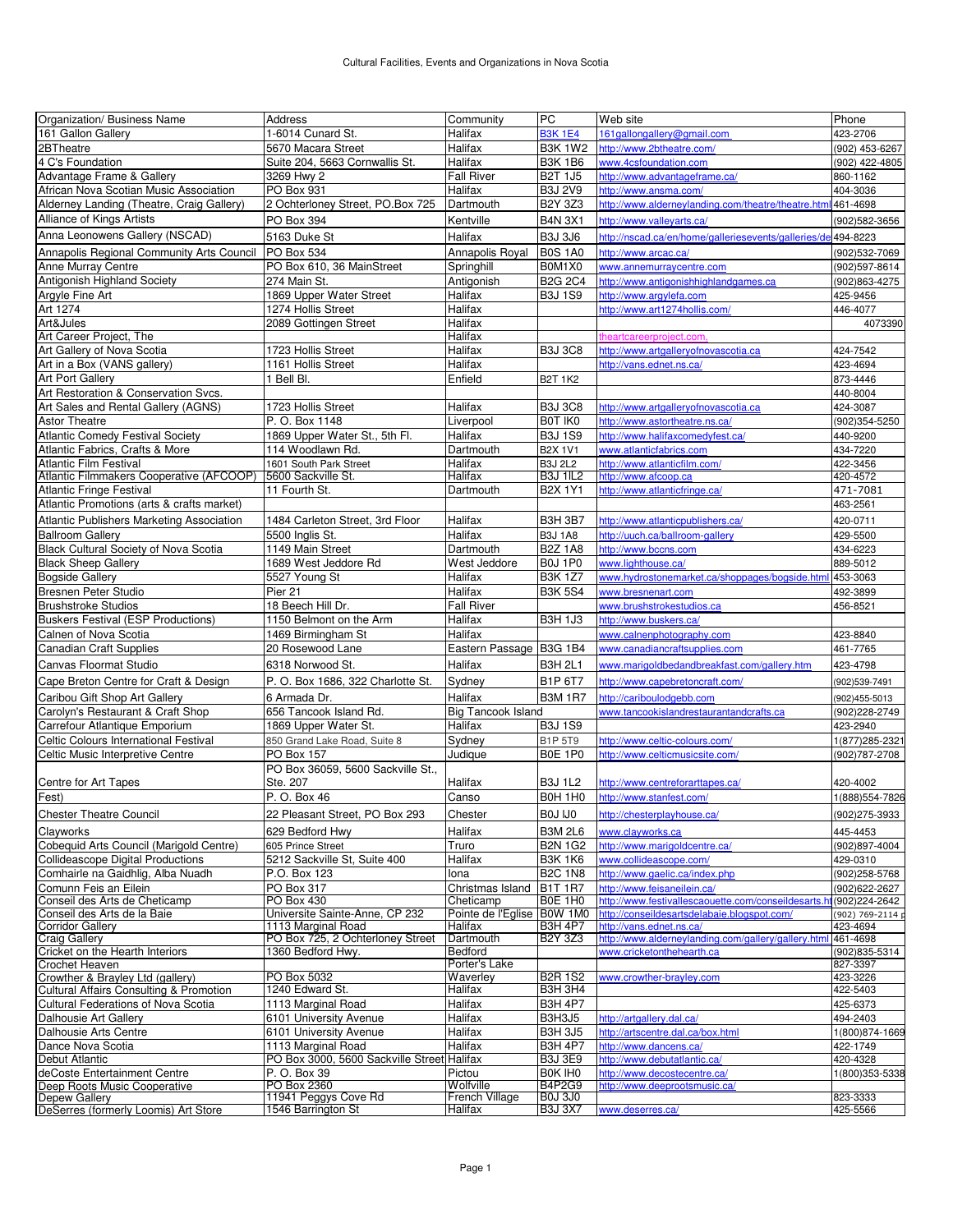| Organization/ Business Name                                               | Address                                    | Community                 | PC              | Web site                                                     | Phone            |
|---------------------------------------------------------------------------|--------------------------------------------|---------------------------|-----------------|--------------------------------------------------------------|------------------|
| 161 Gallon Gallery                                                        | 1-6014 Cunard St.                          | Halifax                   | <b>B3K 1E4</b>  | 161qallonqallery@qmail.com                                   | 423-2706         |
| 2BTheatre                                                                 | 5670 Macara Street                         | Halifax                   | <b>B3K1W2</b>   | http://www.2btheatre.com/                                    | (902) 453-6267   |
| 4 C's Foundation                                                          | Suite 204, 5663 Cornwallis St.             | Halifax                   | <b>B3K1B6</b>   | www.4csfoundation.com                                        | (902) 422-4805   |
| Advantage Frame & Gallery                                                 | 3269 Hwy 2                                 | <b>Fall River</b>         | <b>B2T 1J5</b>  | http://www.advantageframe.ca/                                | 860-1162         |
| African Nova Scotian Music Association                                    | PO Box 931                                 | <b>Halifax</b>            | <b>B3J 2V9</b>  | http://www.ansma.com/                                        | 404-3036         |
| Alderney Landing (Theatre, Craig Gallery)                                 | 2 Ochterloney Street, PO.Box 725           | Dartmouth                 | <b>B2Y 3Z3</b>  | http://www.alderneylanding.com/theatre/theatre.htm           | 461-4698         |
|                                                                           |                                            |                           |                 |                                                              |                  |
| Alliance of Kings Artists                                                 | PO Box 394                                 | Kentville                 | <b>B4N 3X1</b>  | http://www.valleyarts.ca/                                    | (902)582-3656    |
| Anna Leonowens Gallery (NSCAD)                                            | 5163 Duke St                               | Halifax                   | <b>B3J 3J6</b>  | http://nscad.ca/en/home/galleriesevents/galleries/c          | 494-8223         |
| Annapolis Regional Community Arts Council                                 | <b>PO Box 534</b>                          | Annapolis Royal           | <b>B0S 1A0</b>  | http://www.arcac.ca/                                         | (902)532-7069    |
| Anne Murray Centre                                                        | PO Box 610, 36 MainStreet                  | Springhill                | B0M1X0          | www.annemurraycentre.com                                     | (902)597-8614    |
| Antigonish Highland Society                                               | 274 Main St.                               | Antigonish                | <b>B2G 2C4</b>  | http://www.antigonishhighlandgames.ca                        | (902)863-4275    |
| Argyle Fine Art                                                           | 1869 Upper Water Street                    | Halifax                   | <b>B3J 1S9</b>  | http://www.argylefa.com                                      | 425-9456         |
| Art 1274                                                                  | 1274 Hollis Street                         | Halifax                   |                 | http://www.art1274hollis.com/                                | 446-4077         |
|                                                                           |                                            | <b>Halifax</b>            |                 |                                                              |                  |
| Art&Jules                                                                 | 2089 Gottingen Street                      |                           |                 |                                                              | 4073390          |
| Art Career Project, The                                                   |                                            | <b>Halifax</b>            |                 |                                                              |                  |
| Art Gallery of Nova Scotia                                                | 1723 Hollis Street                         | Halifax                   | <b>B3J 3C8</b>  | http://www.artgalleryofnovascotia.ca                         | 424-7542         |
| Art in a Box (VANS gallery)                                               | 1161 Hollis Street                         | Halifax                   |                 | http://vans.ednet.ns.ca/                                     | 423-4694         |
| <b>Art Port Gallery</b>                                                   | 1 Bell Bl.                                 | Enfield                   | <b>B2T 1K2</b>  |                                                              | 873-4446         |
| Art Restoration & Conservation Svcs.                                      |                                            |                           |                 |                                                              | 440-8004         |
| Art Sales and Rental Gallery (AGNS)                                       | 1723 Hollis Street                         | Halifax                   | <b>B3J 3C8</b>  | http://www.artgalleryofnovascotia.ca                         | 424-3087         |
| <b>Astor Theatre</b>                                                      | P.O. Box 1148                              | Liverpool                 | BOT IKO         | http://www.astortheatre.ns.ca/                               | (902)354-5250    |
| <b>Atlantic Comedy Festival Society</b>                                   | 1869 Upper Water St., 5th Fl.              | Halifax                   | <b>B3J1S9</b>   | http://www.halifaxcomedyfest.ca/                             | 440-9200         |
| Atlantic Fabrics, Crafts & More                                           | 114 Woodlawn Rd.                           | Dartmouth                 | <b>B2X 1V1</b>  | www.atlanticfabrics.com                                      | 434-7220         |
|                                                                           |                                            |                           |                 |                                                              |                  |
| <b>Atlantic Film Festival</b><br>Atlantic Filmmakers Cooperative (AFCOOP) | 1601 South Park Street                     | Halifax<br>Halifax        | <b>B3J 2L2</b>  | http://www.atlanticfilm.com/                                 | 422-3456         |
|                                                                           | 5600 Sackville St.                         |                           | <b>B3J 1IL2</b> | http://www.afcoop.ca                                         | 420-4572         |
| <b>Atlantic Fringe Festival</b>                                           | 11 Fourth St.                              | Dartmouth                 | <b>B2X 1Y1</b>  | http://www.atlanticfringe.ca/                                | 471-7081         |
| Atlantic Promotions (arts & crafts market)                                |                                            |                           |                 |                                                              | 463-2561         |
| <b>Atlantic Publishers Marketing Association</b>                          | 1484 Carleton Street, 3rd Floor            | <b>Halifax</b>            | <b>B3H 3B7</b>  | http://www.atlanticpublishers.ca/                            | 420-0711         |
| <b>Ballroom Gallery</b>                                                   | 5500 Inglis St.                            | Halifax                   | <b>B3J 1A8</b>  | http://uuch.ca/ballroom-gallery                              | 429-5500         |
| Black Cultural Society of Nova Scotia                                     | 1149 Main Street                           | Dartmouth                 | <b>B2Z 1A8</b>  | http://www.bccns.com                                         | 434-6223         |
| <b>Black Sheep Gallery</b>                                                | 1689 West Jeddore Rd                       | West Jeddore              | B0J 1P0         | www.lighthouse.ca/                                           | 889-5012         |
| <b>Bogside Gallery</b>                                                    | 5527 Young St                              | Halifax                   | <b>B3K 1Z7</b>  | www.hydrostonemarket.ca/shoppages/bogside.htm                | 453-3063         |
|                                                                           |                                            |                           |                 |                                                              |                  |
| Bresnen Peter Studio                                                      | Pier 21                                    | Halifax                   | <b>B3K 5S4</b>  | www.bresnenart.com                                           | 492-3899         |
| <b>Brushstroke Studios</b>                                                | 18 Beech Hill Dr.                          | <b>Fall River</b>         |                 | www.brushstrokestudios.ca                                    | 456-8521         |
| <b>Buskers Festival (ESP Productions)</b>                                 | 1150 Belmont on the Arm                    | Halifax                   | <b>B3H 1J3</b>  | http://www.buskers.ca/                                       |                  |
| Calnen of Nova Scotia                                                     | 1469 Birmingham St                         | Halifax                   |                 | www.calnenphotography.com                                    | 423-8840         |
| <b>Canadian Craft Supplies</b>                                            | 20 Rosewood Lane                           | Eastern Passage B3G 1B4   |                 | www.canadiancraftsupplies.com                                | 461-7765         |
| Canvas Floormat Studio                                                    | 6318 Norwood St.                           | Halifax                   | <b>B3H 2L1</b>  | www.marigoldbedandbreakfast.com/gallery.htm                  | 423-4798         |
|                                                                           |                                            |                           |                 |                                                              |                  |
| Cape Breton Centre for Craft & Design                                     | P. O. Box 1686, 322 Charlotte St.          | Sydney                    | B1P 6T7         | http://www.capebretoncraft.com/                              | (902)539-7491    |
| Caribou Gift Shop Art Gallery                                             | 6 Armada Dr.                               | Halifax                   | <b>B3M 1R7</b>  | http://cariboulodgebb.com                                    | (902)455-5013    |
| Carolyn's Restaurant & Craft Shop                                         | 656 Tancook Island Rd.                     | <b>Big Tancook Island</b> |                 | www.tancookislandrestaurantandcrafts.ca                      | (902)228-2749    |
| Carrefour Atlantique Emporium                                             | 1869 Upper Water St.                       | Halifax                   | <b>B3J1S9</b>   |                                                              | 423-2940         |
| Celtic Colours International Festival                                     | 850 Grand Lake Road, Suite 8               | Sydney                    | <b>B1P 5T9</b>  | http://www.celtic-colours.com/                               | 1(877) 285-2321  |
| Celtic Music Interpretive Centre                                          | <b>PO Box 157</b>                          | Judique                   | <b>B0E 1P0</b>  | http://www.celticmusicsite.com/                              | (902)787-2708    |
|                                                                           | PO Box 36059, 5600 Sackville St.,          |                           |                 |                                                              |                  |
|                                                                           |                                            |                           |                 |                                                              |                  |
| Centre for Art Tapes                                                      | Ste. 207                                   | Halifax                   | <b>B3J 1L2</b>  | http://www.centreforarttapes.ca/                             | 420-4002         |
| Fest)                                                                     | P. O. Box 46                               | Canso                     | <b>B0H 1H0</b>  | http://www.stanfest.com/                                     | 1(888) 554-7826  |
| <b>Chester Theatre Council</b>                                            | 22 Pleasant Street, PO Box 293             | Chester                   | BOJ IJO         | http://chesterplayhouse.ca/                                  | (902) 275-3933   |
| Clayworks                                                                 | 629 Bedford Hwy                            | Halifax                   | <b>B3M 2L6</b>  | www.clayworks.ca                                             | 445-4453         |
| Cobequid Arts Council (Marigold Centre)                                   | 605 Prince Street                          | Truro                     | <b>B2N 1G2</b>  | http://www.marigoldcentre.ca/                                |                  |
|                                                                           |                                            |                           |                 |                                                              | (902)897-4004    |
| <b>Collideascope Digital Productions</b>                                  | 5212 Sackville St, Suite 400               | Halifax                   | <b>B3K 1K6</b>  | www.collideascope.com/                                       | 429-0310         |
| Comhairle na Gaidhlig, Alba Nuadh                                         | $P.O.$ Box 123                             | lona                      | <b>B2C 1N8</b>  | http://www.gaelic.ca/index.php                               | (902)258-5768    |
| Comunn Feis an Eilein                                                     | PO Box 317                                 | Christmas Island          | <b>B1T 1R7</b>  | http://www.feisaneilein.ca/                                  | 902)622-2627     |
| Conseil des Arts de Cheticamp                                             | PO Box 430                                 | Cheticamp                 | <b>B0E 1H0</b>  | http://www.festivallescaouette.com/conseildesarts.           | (902)224-2642    |
| Conseil des Arts de la Baie                                               | Universite Sainte-Anne, CP 232             | Pointe de l'Eglise        | B0W 1M0         | http://conseildesartsdelabaie.blogspot.com/                  | (902) 769-2114 p |
| <b>Corridor Gallery</b>                                                   | 1113 Marginal Road                         | Halifax                   | <b>B3H 4P7</b>  | http://vans.ednet.ns.ca/                                     | 423-4694         |
| <b>Craig Gallery</b>                                                      | PO Box 725, 2 Ochterloney Street           | Dartmouth                 | <b>B2Y 3Z3</b>  | http://www.alderneylanding.com/gallery/gallery.html 461-4698 |                  |
| Cricket on the Hearth Interiors                                           | 1360 Bedford Hwy.                          | Bedford                   |                 | www.cricketonthehearth.ca                                    | (902)835-5314    |
| Crochet Heaven                                                            |                                            | Porter's Lake             |                 |                                                              | 827-3397         |
| Crowther & Brayley Ltd (gallery)                                          | PO Box 5032                                | Waverley                  | <b>B2R 1S2</b>  | www.crowther-brayley.com                                     | 423-3226         |
| <b>Cultural Affairs Consulting &amp; Promotion</b>                        | 1240 Edward St.                            | <b>Halifax</b>            | <b>B3H 3H4</b>  |                                                              | 422-5403         |
| Cultural Federations of Nova Scotia                                       | 1113 Marginal Road                         | Halifax                   | <b>B3H 4P7</b>  |                                                              | 425-6373         |
| Dalhousie Art Gallery                                                     | 6101 University Avenue                     | Halifax                   | <b>B3H3J5</b>   | http://artgallery.dal.ca/                                    | 494-2403         |
| Dalhousie Arts Centre                                                     | 6101 University Avenue                     | Halifax                   | <b>B3H 3J5</b>  | http://artscentre.dal.ca/box.html                            | 1(800) 874-1669  |
| Dance Nova Scotia                                                         | 1113 Marginal Road                         | Halifax                   | <b>B3H 4P7</b>  | http://www.dancens.ca/                                       | 422-1749         |
| Debut Atlantic                                                            | PO Box 3000, 5600 Sackville Street Halifax |                           | <b>B3J 3E9</b>  | http://www.debutatlantic.ca/                                 | 420-4328         |
|                                                                           |                                            |                           |                 |                                                              |                  |
| deCoste Entertainment Centre                                              | P. O. Box 39                               | Pictou                    | B0K IH0         | http://www.decostecentre.ca/                                 | 1(800)353-5338   |
| Deep Roots Music Cooperative                                              | PO Box 2360                                | Wolfville                 | B4P2G9          | http://www.deeprootsmusic.ca/                                |                  |
| Depew Gallery                                                             | 11941 Peggys Cove Rd                       | <b>French Village</b>     | <b>B0J 3J0</b>  |                                                              | 823-3333         |
| DeSerres (formerly Loomis) Art Store                                      | 1546 Barrington St                         | Halifax                   | <b>B3J 3X7</b>  | www.deserres.ca/                                             | 425-5566         |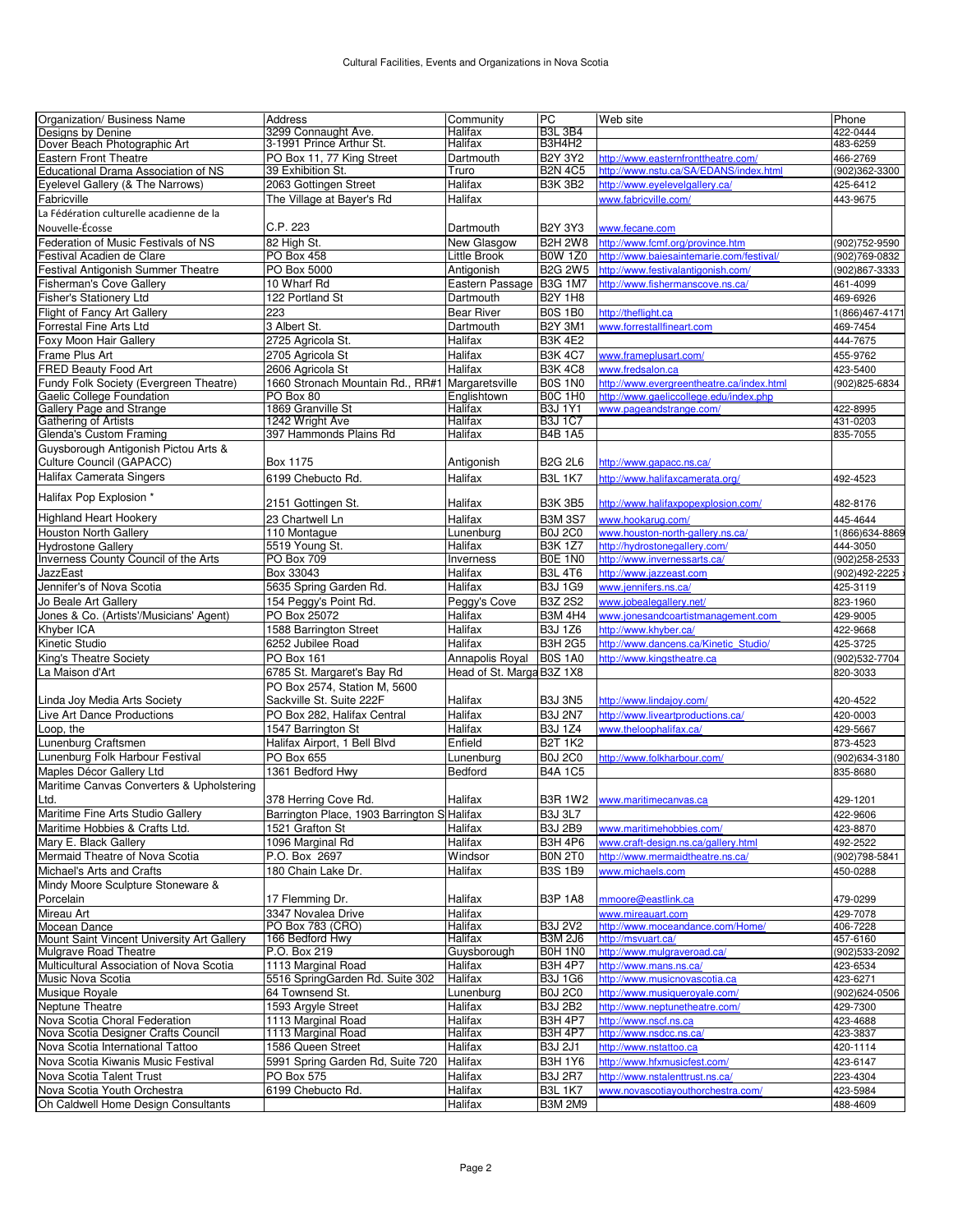| Organization/ Business Name                                       | Address                                         | Community                 | PC                               | Web site                                                                      | Phone                |
|-------------------------------------------------------------------|-------------------------------------------------|---------------------------|----------------------------------|-------------------------------------------------------------------------------|----------------------|
| Designs by Denine                                                 | 3299 Connaught Ave.                             | Halifax                   | <b>B3L 3B4</b>                   |                                                                               | 422-0444             |
| Dover Beach Photographic Art                                      | 3-1991 Prince Arthur St.                        | Halifax                   | B3H4H2                           |                                                                               | 483-6259<br>466-2769 |
| <b>Eastern Front Theatre</b>                                      | PO Box 11, 77 King Street<br>39 Exhibition St.  | Dartmouth                 | <b>B2Y 3Y2</b><br><b>B2N 4C5</b> | http://www.easternfronttheatre.com/<br>http://www.nstu.ca/SA/EDANS/index.html |                      |
| Educational Drama Association of NS                               |                                                 | Truro                     |                                  | http://www.eyelevelgallery.ca/                                                | (902)362-3300        |
| Eyelevel Gallery (& The Narrows)                                  | 2063 Gottingen Street                           | Halifax                   | <b>B3K 3B2</b>                   | www.fabricville.com/                                                          | 425-6412             |
| Fabricville                                                       | The Village at Bayer's Rd                       | Halifax                   |                                  |                                                                               | 443-9675             |
| La Fédération culturelle acadienne de la                          |                                                 |                           |                                  |                                                                               |                      |
| Nouvelle-Écosse                                                   | C.P. 223                                        | Dartmouth                 | B2Y 3Y3                          | www.fecane.com                                                                |                      |
| Federation of Music Festivals of NS                               | 82 High St.                                     | New Glasgow               | <b>B2H 2W8</b>                   | http://www.fcmf.org/province.htm                                              | (902)752-9590        |
| Festival Acadien de Clare                                         | PO Box 458                                      | Little Brook              | B0W 1Z0                          | http://www.baiesaintemarie.com/festival/                                      | (902)769-0832        |
| Festival Antigonish Summer Theatre                                | PO Box 5000                                     | Antigonish                | <b>B2G 2W5</b>                   | http://www.festivalantigonish.com/                                            | (902)867-3333        |
| Fisherman's Cove Gallery                                          | 10 Wharf Rd                                     | Eastern Passage           | <b>B3G 1M7</b>                   | http://www.fishermanscove.ns.ca/                                              | 461-4099             |
| <b>Fisher's Stationery Ltd</b>                                    | 122 Portland St                                 | Dartmouth                 | <b>B2Y 1H8</b>                   |                                                                               | 469-6926             |
| Flight of Fancy Art Gallery                                       | 223                                             | <b>Bear River</b>         | <b>B0S 1B0</b>                   | http://theflight.ca                                                           | 1(866) 467-4171      |
| Forrestal Fine Arts Ltd                                           | 3 Albert St.                                    | Dartmouth                 | <b>B2Y 3M1</b>                   | www.forrestallfineart.com                                                     | 469-7454             |
| Foxy Moon Hair Gallery                                            | 2725 Agricola St.                               | Halifax                   | <b>B3K 4E2</b>                   |                                                                               | 444-7675             |
| Frame Plus Art                                                    | 2705 Agricola St                                | Halifax                   | <b>B3K 4C7</b>                   | www.frameplusart.com/                                                         | 455-9762             |
| FRED Beauty Food Art                                              | 2606 Agricola St                                | Halifax                   | <b>B3K 4C8</b>                   | www.fredsalon.ca                                                              | 423-5400             |
| Fundy Folk Society (Evergreen Theatre)                            | 1660 Stronach Mountain Rd., RR#1 Margaretsville |                           | <b>B0S 1N0</b>                   | http://www.evergreentheatre.ca/index.html                                     | 902)825-6834         |
| Gaelic College Foundation                                         | PO Box 80                                       | Englishtown               | <b>B0C 1H0</b>                   | http://www.gaeliccollege.edu/index.php                                        |                      |
| Gallery Page and Strange                                          | 1869 Granville St                               | Halifax                   | <b>B3J1Y1</b>                    | www.pageandstrange.com/                                                       | 422-8995             |
| <b>Gathering of Artists</b>                                       | 1242 Wright Ave                                 | Halifax                   | <b>B3J 1C7</b>                   |                                                                               | 431-0203             |
| Glenda's Custom Framing                                           | 397 Hammonds Plains Rd                          | Halifax                   | <b>B4B 1A5</b>                   |                                                                               | 835-7055             |
| Guysborough Antigonish Pictou Arts &                              |                                                 |                           |                                  |                                                                               |                      |
| Culture Council (GAPACC)                                          | <b>Box 1175</b>                                 | Antigonish                | <b>B2G 2L6</b>                   | http://www.gapacc.ns.ca/                                                      |                      |
| <b>Halifax Camerata Singers</b>                                   | 6199 Chebucto Rd.                               | Halifax                   | <b>B3L 1K7</b>                   | http://www.halifaxcamerata.org/                                               | 492-4523             |
|                                                                   |                                                 |                           |                                  |                                                                               |                      |
| Halifax Pop Explosion *                                           | 2151 Gottingen St.                              | Halifax                   | <b>B3K 3B5</b>                   | http://www.halifaxpopexplosion.com/                                           | 482-8176             |
| <b>Highland Heart Hookery</b>                                     | 23 Chartwell Ln                                 | Halifax                   | <b>B3M 3S7</b>                   |                                                                               | 445-4644             |
|                                                                   |                                                 |                           | <b>B0J 2C0</b>                   | www.hookarug.com/<br>www.houston-north-gallery.ns.ca/                         |                      |
| <b>Houston North Gallery</b>                                      | 110 Montague                                    | Lunenburg                 | <b>B3K 1Z7</b>                   | http://hydrostonegallery.com/                                                 | 1(866)634-8869       |
| <b>Hydrostone Gallery</b><br>Inverness County Council of the Arts | 5519 Young St.<br>PO Box 709                    | Halifax                   |                                  |                                                                               | 444-3050             |
|                                                                   |                                                 | Inverness                 | <b>B0E 1N0</b>                   | http://www.invernessarts.ca/                                                  | (902)258-2533        |
| JazzEast                                                          | Box 33043                                       | Halifax                   | <b>B3L 4T6</b>                   | http://www.jazzeast.com                                                       | (902)492-2225        |
| Jennifer's of Nova Scotia                                         | 5635 Spring Garden Rd.                          | Halifax                   | <b>B3J1G9</b>                    | www.jennifers.ns.ca/                                                          | 425-3119             |
| Jo Beale Art Gallery                                              | 154 Peggy's Point Rd.                           | Peggy's Cove              | <b>B3Z 2S2</b>                   | www.jobealegallery.net/                                                       | 823-1960             |
| Jones & Co. (Artists'/Musicians' Agent)                           | PO Box 25072                                    | Halifax                   | <b>B3M 4H4</b>                   | www.jonesandcoartistmanagement.com                                            | 429-9005             |
| Khyber ICA                                                        | 1588 Barrington Street                          | Halifax                   | <b>B3J 1Z6</b>                   | http://www.khyber.ca/                                                         | 422-9668             |
| Kinetic Studio                                                    | 6252 Jubilee Road                               | Halifax                   | <b>B3H 2G5</b>                   | http://www.dancens.ca/Kinetic Studio/                                         | 425-3725             |
| <b>King's Theatre Society</b>                                     | <b>PO Box 161</b>                               | Annapolis Royal           | <b>B0S 1A0</b>                   | http://www.kingstheatre.ca                                                    | (902)532-7704        |
| La Maison d'Art                                                   | 6785 St. Margaret's Bay Rd                      | Head of St. Marga B3Z 1X8 |                                  |                                                                               | 820-3033             |
|                                                                   | PO Box 2574, Station M, 5600                    |                           |                                  |                                                                               |                      |
| Linda Joy Media Arts Society                                      | Sackville St. Suite 222F                        | Halifax                   | B3J 3N5                          | http://www.lindajoy.com/                                                      | 420-4522             |
| Live Art Dance Productions                                        | PO Box 282, Halifax Central                     | <b>Halifax</b>            | <b>B3J 2N7</b>                   | http://www.liveartproductions.ca/                                             | 420-0003             |
| Loop, the                                                         | 1547 Barrington St                              | Halifax                   | <b>B3J 1Z4</b>                   | www.theloophalifax.ca/                                                        | 429-5667             |
| Lunenburg Craftsmen                                               | Halifax Airport, 1 Bell Blvd                    | Enfield                   | <b>B2T 1K2</b>                   |                                                                               | 873-4523             |
| Lunenburg Folk Harbour Festival                                   | PO Box 655                                      | Lunenburg                 | <b>B0J 2C0</b>                   | http://www.folkharbour.com/                                                   | (902)634-3180        |
| Maples Décor Gallery Ltd                                          | 1361 Bedford Hwy                                | Bedford                   | <b>B4A 1C5</b>                   |                                                                               | 835-8680             |
|                                                                   |                                                 |                           |                                  |                                                                               |                      |
| Maritime Canvas Converters & Upholstering                         |                                                 |                           |                                  |                                                                               |                      |
| Ltd.                                                              | 378 Herring Cove Rd.                            | Halifax                   |                                  | B3R 1W2 www.maritimecanvas.ca                                                 | 429-1201             |
| Maritime Fine Arts Studio Gallery                                 | Barrington Place, 1903 Barrington Si Halifax    |                           | <b>B31 3L7</b>                   |                                                                               | 422-9606             |
| Maritime Hobbies & Crafts Ltd.                                    | 1521 Grafton St                                 | Halifax                   | <b>B3J 2B9</b>                   | www.maritimehobbies.com/                                                      | 423-8870             |
| Mary E. Black Gallery                                             | 1096 Marginal Rd                                | Halifax                   | B3H 4P6                          | www.craft-design.ns.ca/gallery.html                                           | 492-2522             |
| Mermaid Theatre of Nova Scotia                                    | P.O. Box 2697                                   | Windsor                   | <b>BON 2T0</b>                   | http://www.mermaidtheatre.ns.ca/                                              | (902)798-5841        |
| Michael's Arts and Crafts                                         | 180 Chain Lake Dr.                              | Halifax                   | <b>B3S 1B9</b>                   | www.michaels.com                                                              | 450-0288             |
| Mindy Moore Sculpture Stoneware &                                 |                                                 |                           |                                  |                                                                               |                      |
| Porcelain                                                         | 17 Flemming Dr.                                 | Halifax                   | B3P 1A8                          | mmoore@eastlink.ca                                                            | 479-0299             |
| Mireau Art                                                        | 3347 Novalea Drive                              | Halifax                   |                                  | www.mireauart.com                                                             | 429-7078             |
| Mocean Dance                                                      | PO Box 783 (CRO)                                | Halifax                   | <b>B3J 2V2</b>                   | http://www.moceandance.com/Home/                                              | 406-7228             |
| Mount Saint Vincent University Art Gallery                        | 166 Bedford Hwy                                 | Halifax                   | <b>B3M 2J6</b>                   | http://msvuart.ca/                                                            | 457-6160             |
| Mulgrave Road Theatre                                             | P.O. Box 219                                    | Guysborough               | B0H 1N0                          | http://www.mulgraveroad.ca/                                                   | (902)533-2092        |
| Multicultural Association of Nova Scotia                          | 1113 Marginal Road                              | Halifax                   | <b>B3H 4P7</b>                   | http://www.mans.ns.ca/                                                        | 423-6534             |
| Music Nova Scotia                                                 | 5516 SpringGarden Rd. Suite 302                 | Halifax                   | <b>B3J 1G6</b>                   | http://www.musicnovascotia.ca                                                 | 423-6271             |
| Musique Royale                                                    | 64 Townsend St.                                 | Lunenburg                 | <b>B0J 2C0</b>                   | http://www.musiqueroyale.com/                                                 | (902)624-0506        |
| Neptune Theatre                                                   | 1593 Argyle Street                              | Halifax                   | <b>B3J 2B2</b>                   | http://www.neptunetheatre.com/                                                | 429-7300             |
| Nova Scotia Choral Federation                                     | 1113 Marginal Road                              | Halifax                   | <b>B3H 4P7</b>                   | http://www.nscf.ns.ca                                                         | 423-4688             |
| Nova Scotia Designer Crafts Council                               | 1113 Marginal Road                              | Halifax                   | B3H <sub>4P7</sub>               | http://www.nsdcc.ns.ca/                                                       | 423-3837             |
| Nova Scotia International Tattoo                                  | 1586 Queen Street                               | Halifax                   | <b>B3J 2J1</b>                   | http://www.nstattoo.ca                                                        | 420-1114             |
| Nova Scotia Kiwanis Music Festival                                | 5991 Spring Garden Rd, Suite 720                | Halifax                   | <b>B3H 1Y6</b>                   | http://www.hfxmusicfest.com/                                                  | 423-6147             |
| Nova Scotia Talent Trust                                          | PO Box 575                                      | Halifax                   | <b>B3J 2R7</b>                   | http://www.nstalenttrust.ns.ca/                                               | 223-4304             |
| Nova Scotia Youth Orchestra                                       | 6199 Chebucto Rd.                               | Halifax                   | <b>B3L 1K7</b>                   | www.novascotiayouthorchestra.com/                                             | 423-5984             |
| Oh Caldwell Home Design Consultants                               |                                                 | Halifax                   | B3M 2M9                          |                                                                               | 488-4609             |
|                                                                   |                                                 |                           |                                  |                                                                               |                      |